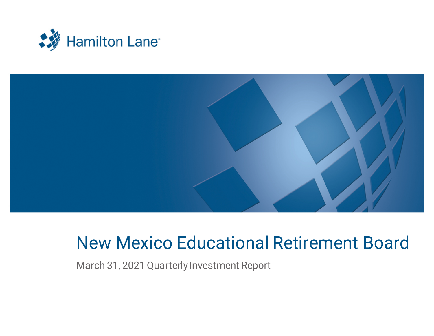



# New Mexico Educational Retirement Board

March 31, 2021 Quarterly Investment Report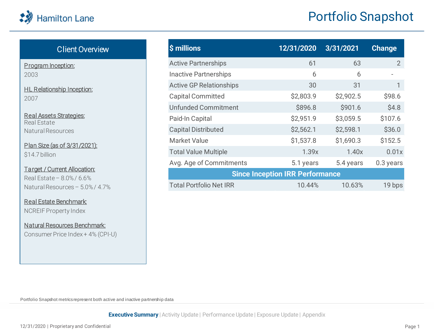| \$ millions                    | 12/31/2020                             | 3/31/2021 | <b>Change</b> |
|--------------------------------|----------------------------------------|-----------|---------------|
| <b>Active Partnerships</b>     | 61                                     | 63        | $\mathcal{P}$ |
| <b>Inactive Partnerships</b>   | 6                                      | 6         |               |
| <b>Active GP Relationships</b> | 30                                     | 31        |               |
| <b>Capital Committed</b>       | \$2,803.9                              | \$2,902.5 | \$98.6        |
| <b>Unfunded Commitment</b>     | \$896.8                                | \$901.6   | \$4.8         |
| Paid-In Capital                | \$2,951.9                              | \$3,059.5 | \$107.6       |
| <b>Capital Distributed</b>     | \$2,562.1                              | \$2,598.1 | \$36.0        |
| <b>Market Value</b>            | \$1,537.8                              | \$1,690.3 | \$152.5       |
| <b>Total Value Multiple</b>    | 1.39x                                  | 1.40x     | 0.01x         |
| Avg. Age of Commitments        | 5.1 years                              | 5.4 years | 0.3 years     |
|                                | <b>Since Inception IRR Performance</b> |           |               |
| <b>Total Portfolio Net IRR</b> | 10.44%                                 | 10.63%    | 19 bps        |

### Client Overview

<span id="page-1-0"></span>Program Inception: 2003

HL Relationship Inception: 2007

Real Assets Strategies: Real Estate Natural Resources

#### Plan Size (as of 3/31/2021): \$14.7 billion

Target / Current Allocation: Real Estate – 8.0% / 6.6% Natural Resources – 5.0% / 4.7%

Real Estate Benchmark: NCREIF Property Index

Natural Resources Benchmark: Consumer Price Index + 4% (CPI-U)

Portfolio Snapshot metrics represent both active and inactive partnership data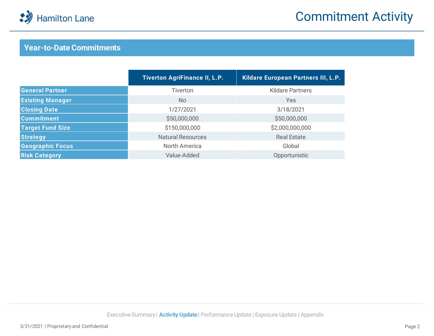

## Commitment Activity

### **Year-to-Date Commitments**

|                         | <b>Tiverton AgriFinance II, L.P.</b> | Kildare European Partners III, L.P. |
|-------------------------|--------------------------------------|-------------------------------------|
| <b>General Partner</b>  | Tiverton                             | <b>Kildare Partners</b>             |
| <b>Existing Manager</b> | No.                                  | Yes                                 |
| <b>Closing Date</b>     | 1/27/2021                            | 3/18/2021                           |
| <b>Commitment</b>       | \$50,000,000                         | \$50,000,000                        |
| <b>Target Fund Size</b> | \$150,000,000                        | \$2,000,000,000                     |
| <b>Strategy</b>         | <b>Natural Resources</b>             | <b>Real Estate</b>                  |
| <b>Geographic Focus</b> | North America                        | Global                              |
| <b>Risk Category</b>    | Value-Added                          | Opportunistic                       |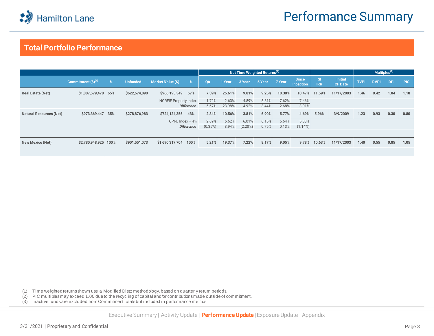

### **Total Portfolio Performance**

|                                |                        |   |                 |                              |            | Net Time Weighted Returns <sup>(1)</sup> |         |        |        |                           |                         |                                  | Multiples <sup>(2)</sup> |             |            |            |
|--------------------------------|------------------------|---|-----------------|------------------------------|------------|------------------------------------------|---------|--------|--------|---------------------------|-------------------------|----------------------------------|--------------------------|-------------|------------|------------|
|                                | Commitment $(S)^{(3)}$ | % | <b>Unfunded</b> | Market Value (\$)<br>$\%$    | <b>Otr</b> | 1 Year                                   | 3 Year  | 5 Year | 7 Year | <b>Since</b><br>Inception | <b>SI</b><br><b>IRR</b> | <b>Initial</b><br><b>CF Date</b> | <b>TVPI</b>              | <b>RVPI</b> | <b>DPI</b> | <b>PIC</b> |
| <b>Real Estate (Net)</b>       | \$1,807,579,478 65%    |   | \$622,674,090   | \$966,193,349<br>57%         | 7.39%      | 26.61%                                   | 9.81%   | 9.25%  | 10.30% | 10.47%                    | 11.59%                  | 11/17/2003                       | 1.46                     | 0.42        | 1.04       | 1.18       |
|                                |                        |   |                 | <b>NCREIF Property Index</b> | 1.72%      | 2.63%                                    | 4.89%   | 5.81%  | 7.62%  | 7.46%                     |                         |                                  |                          |             |            |            |
|                                |                        |   |                 | <b>Difference</b>            | 5.67%      | 23.98%                                   | 4.92%   | 3.44%  | 2.68%  | 3.01%                     |                         |                                  |                          |             |            |            |
| <b>Natural Resources (Net)</b> | \$973,369,447 35%      |   | \$278,876,983   | \$724,124,355<br>43%         | 2.34%      | 10.56%                                   | 3.81%   | 6.90%  | 5.77%  | 4.69%                     | 5.96%                   | 3/9/2009                         | 1.23                     | 0.93        | 0.30       | 0.80       |
|                                |                        |   |                 | $CPI-U$ Index + 4%           | 2.69%      | 6.62%                                    | 6.01%   | 6.15%  | 5.64%  | 5.83%                     |                         |                                  |                          |             |            |            |
|                                |                        |   |                 | <b>Difference</b>            | (0.35%)    | 3.94%                                    | (2.20%) | 0.75%  | 0.13%  | $(1.14\%)$                |                         |                                  |                          |             |            |            |
|                                |                        |   |                 |                              |            |                                          |         |        |        |                           |                         |                                  |                          |             |            |            |
| New Mexico (Net)               | \$2,780,948,925 100%   |   | \$901,551,073   | \$1,690,317,704<br>100%      | 5.21%      | 19.37%                                   | 7.22%   | 8.17%  | 9.05%  | 9.78%                     | 10.63%                  | 11/17/2003                       | 1.40                     | 0.55        | 0.85       | 1.05       |
|                                |                        |   |                 |                              |            |                                          |         |        |        |                           |                         |                                  |                          |             |            |            |

(1) Time weighted returns shown use a Modified Dietz methodology, based on quarterly return periods.

(2) PIC multiples may exceed 1.00 due to the recycling of capital and/or contributions made outside of commitment.

(3) Inactive funds are excluded from Commitment totals but included in performance metrics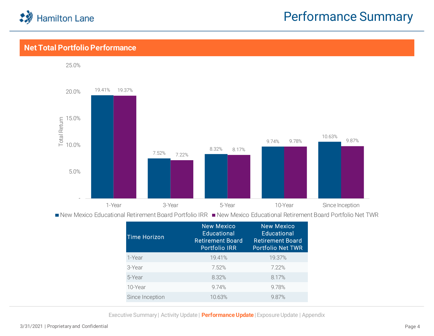

### **Net Total Portfolio Performance**



| <b>Educational</b><br><b>Retirement Board</b><br><b>Portfolio IRR</b> | <b>New Mexico</b><br>Educational<br><b>Retirement Board</b><br><b>Portfolio Net TWR</b> |
|-----------------------------------------------------------------------|-----------------------------------------------------------------------------------------|
| 19.41%                                                                | 19.37%                                                                                  |
| 7.52%                                                                 | 7.22%                                                                                   |
| 8.32%                                                                 | 8.17%                                                                                   |
| 9.74%                                                                 | 9.78%                                                                                   |
| 10.63%                                                                | 987%                                                                                    |
|                                                                       | <b>New Mexico</b>                                                                       |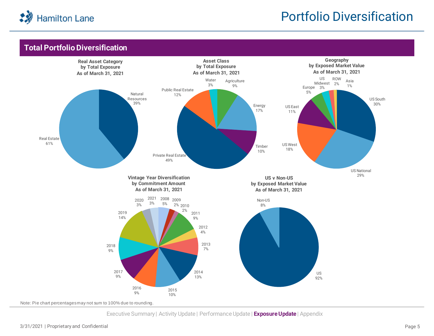

## Portfolio Diversification

### **Total Portfolio Diversification**



Note: Pie chart percentages may not sum to 100% due to rounding.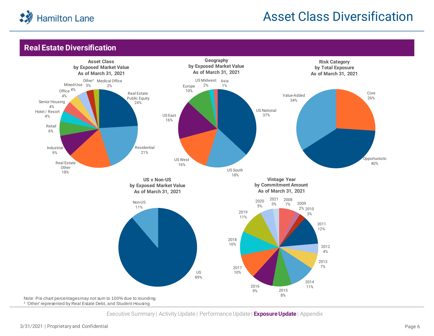<span id="page-6-0"></span>

## Asset Class Diversification

### **Real Estate Diversification**

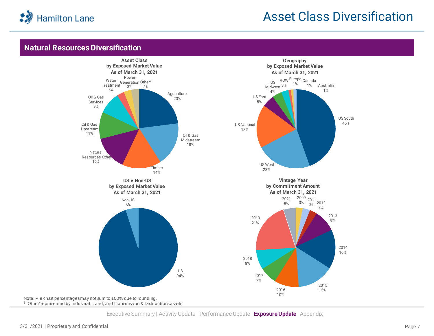<span id="page-7-0"></span>

### Asset Class Diversification

### **Natural Resources Diversification**

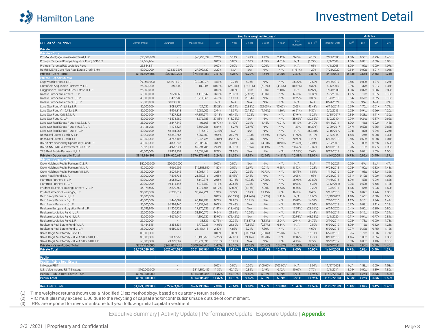<span id="page-8-0"></span>

### Investment Detail

|                                                  |                 |               |               | Net Time Weighted Returns <sup>(1)</sup> |             |          |              |              |                    |                        | <b>Multiples</b> |             |            |                                       |             |
|--------------------------------------------------|-----------------|---------------|---------------|------------------------------------------|-------------|----------|--------------|--------------|--------------------|------------------------|------------------|-------------|------------|---------------------------------------|-------------|
| USD as of 3/31/2021                              | Commitment      | Unfunded      | Market Value  | Q <sub>th</sub>                          | 1 Year      | 3 Year   | 5 Year       | 7 Year       | Since<br>Inception | $SI$ IRR <sup>(3</sup> | Initial CF Date  | $PIC^{(2)}$ | <b>DPI</b> | <b>RVPI</b>                           | <b>TVPI</b> |
| Private                                          |                 |               |               |                                          |             |          |              |              |                    |                        |                  |             |            |                                       |             |
| <b>Private - Core</b>                            |                 |               |               |                                          |             |          |              |              |                    |                        |                  |             |            |                                       |             |
| PRIMA Mortgage Investment Trust, LLC             | \$50,000,000    |               | \$46,956,337  | 2.25%                                    | 6.14%       | 0.47%    | 1.47%        | 2.12%        | 3.65%              | 4.15%                  | 7/21/2008        | 1.00x       | 0.53x      | 0.93x                                 | 1.46x       |
| Prologis Targeted Europe Logistics Fund, FCP-FIS | 12,664,964      |               |               | 0.00%                                    | 0.00%       | 0.00%    | 4.39%        | 4.01%        | N/A                | (1.72%)                | 7/1/2008         | 1.00x       | 0.88x      | 0.00x                                 | 0.88x       |
| Prologis Targeted US Logistics Fund              | 23,844,841      |               |               | 0.00%                                    | 0.00%       | 0.00%    | 0.00%        | 4.09%        | N/A                | 1.03%                  | 4/1/2008         | 1.00x       | 1.07x      | 0.00x                                 | 1.07x       |
| Raith NMERB Core Plus Real Estate Credit SMA     | 50,000,000      | \$23,830,298  | 27.292.130    | 3.29%                                    | N/A         | N/A      | N/A          | N/A          | (1.61%)            | 1.20%                  | 7/28/2020        | 0.54x       | 0.00x      | 1.01x                                 | 1.01x       |
| Private - Core Total                             | \$136,509,806   | \$23,830,298  | \$74,248,467  | 2.51%                                    | 5.36%       | 0.22%    | 1.66%        | 3.00%        | 2.37%              | 2.81%                  | 4/1/2008         | 0.83x       | 0.56x      | 0.65x                                 | 1.21x       |
| Private - Opportunisti                           |                 |               |               |                                          |             |          |              |              |                    |                        |                  |             |            |                                       |             |
| Edgewood Partners, L.P.                          | \$99,500,000    | \$42,911,019  | \$73,288,771  | 4.58%                                    | 12.71%      | 4.36%    | N/A          | N/A          | 36.22%             | 17.58%                 | 2/15/2017        | 0.58x       | 0.00x      | 1.27x                                 | 1.27x       |
| Greenfield Acquisition Partners V, L.P.          | 25,000,000      | 350,000       | 189,385       | (0.09%)                                  | (25.36%)    | (12.71%) | (5.32%       | (4.04%       | (0.69%)            | 8.32%                  | 4/4/2008         | 0.99x       | 1.37x      | 0.01x                                 | 1.37x       |
| Guggenheim Structured Real Estate III, L.P.      | 25,000,000      |               |               | 0.00%                                    | 0.00%       | 0.00%    | 0.00%        | 2.10%        | N/A                | (4.97%                 | 1/14/2008        | 1.00x       | 0.82x      | 0.00x                                 | 0.82x       |
| Kildare European Partners I, L.P                 | 50,000,000      | 7,621,860     | 4,118,647     | 3.60%                                    | 20.35%      | (2.62%)  | 4.30%        | N/A          | 6.50%              | 11.85%                 | 5/6/2014         | 1.17x       | 1.11x      | 0.07x                                 | 1.18x       |
| Kildare European Partners II, L.P.               | 40,000,000      | 15,412,980    | 15,711,866    | 4.58%                                    | 14.92%      | 23.34%   | N/A          | N/A          | 12.29%             | 9.35%                  | 10/8/2018        | 0.64x       | 0.51x      | 0.62x                                 | 1.13x       |
| Kildare European Partners III, L.P.              | 50,000,000      | 50,000,000    |               | N/A                                      | N/A         | N/A      | N/A          | N/A          | N/A                | N/A                    | 8/24/2021        | 0.00x       | N/A        | N/A                                   | N/A         |
| Lone Star Fund VII (U.S.), L.P.                  | 50,000,000      | 3,081,775     | 421.630       | 25.28%                                   | 42.34%      | (6.88%)  | (22.65%)     | (13.65%)     | 2.03%              | 46.48%                 | 6/15/2011        | 0.99x       | 1.70x      | 0.01x                                 | 1.71x       |
| Lone Star Fund VIII (U.S.), L.P.                 | 50,000,000      | 4,991,318     | 12,682,905    | 2.94%                                    | 13.37%      | (5.18%)  | (4.70%       | 1.16%        | (6.51%)            | 9.36%                  | 9/9/2013         | 0.98x       | 0.94x      | 0.26x                                 | 1.20x       |
| Lone Star Fund X (U.S.), L.P.                    | 50,000,000      | 7,327,823     | 47,351,577    | 10.18%                                   | 61.49%      | 15.23%   | N/A          | N/A          | 37.94%             | 16.21%                 | 12/15/2017       | 0.85x       | 0.28x      | 1.11x                                 | 1.39x       |
| Lone Star Fund XI, L.P.                          | 50,000,000      | 45,473,589    | 1,676,783     | 27.88%                                   | (18.05%)    | N/A      | N/A          | N/A          | (38.66%)           | (39.65%)               | 5/9/2019         | 0.09x       | 0.24x      | 0.37x                                 | 0.62x       |
| Lone Star Real Estate Fund II (U.S.), L.P.       | 25,000,000      | 2,847,542     | 406,608       | (8.77%                                   | (1.49%)     | 0.04%    | 1.45%        | 9.91%        | 15.17%             | 24.70%                 | 5/15/2011        | 1.00x       | 1.46x      | 0.02x                                 | 1.48x       |
| Lone Star Real Estate Fund V (U.S.), L.P.        | 21,126,398      | 11,176,527    | 3,564,256     | 5.84%                                    | 15.27%      | (2.87%)  | N/A          | N/A          | 1.39%              | (8.39%)                | 12/20/2017       | 0.47x       | 0.52x      | 0.36x                                 | 0.88x       |
| Lone Star Real Estate Fund VI. L.P.              | 50,000,000      | 48.181.265    | 715,610       | (17.93%                                  | N/A         | N/A      | N/A          | N/A          | N/A                | 358.18%                | 12/16/2019       | 0.04x       | 1.87x      | 0.39x                                 | 2.26x       |
| Raith Real Estate Fund I-A, L.P.                 | 50,000,000      | 45,348,766    | 5,967,103     | 9.06%                                    | 31.77%      | 13.93%   | 16.499       | 11.92%       | 11.92%             | 14.13%                 | 2/7/2014         | 1.55x       | 1.24x      | 0.08x                                 | 1.32x       |
| Raith Real Estate Fund II, L.P.                  | 50,000,000      | 33,745,106    | 12,846,726    | 10.84%                                   | 453.51%     | 70.98%   | N/A          | N/A          | 70.98%             | 1.20%                  | 6/15/2018        | 0.68x       | 0.63x      | 0.38x                                 | 1.01x       |
| RAPM NM Secondary Opportunity Fund L.P.          | 40,000,000      | 4,802,536     | 22,805,968    | 0.30%                                    | 4.34%       | 12.35%   | 14.20%       | 10.94%       | (26.49%)           | 12.04%                 | 7/2/2009         | 0.97x       | 1.03x      | 0.59x                                 | 1.62x       |
| RAPM-NMERB Co-Investment Fund L.P.               | 79,520,000      | 4,920,221     | 59,994,705    | 2.51%                                    | 39.15%      | 16.56%   | 18.19%       | N/A          | 20.49%             | 19.89%                 | 6/10/2014        | 0.98x       | 1.13x      | 0.77x                                 | 1.90x       |
| TPG Real Estate Partners III, L.P                | 40,000,000      | 25,828,359    | 14,534,442    | 8.29%                                    | 21.95%      | N/A      | N/A          | N/A          | (11.33%)           | 7.62%                  | 9/17/2019        | 0.35x       | 0.02x      | 1.03x                                 | 1.05x       |
| Private - Opportunistic Total                    | \$845,146,398   | \$354,020,687 | \$276,276,982 | 5.24%                                    | 31.32%      | 9.91%    | 12.96%       | 14.11%       | 10.88%             | 13.99%                 | 1/14/2008        | 0.73x       | 0.92x      | 0.45x                                 | 1.37x       |
| Private - Value-Adde                             |                 |               |               |                                          |             |          |              |              |                    |                        |                  |             |            |                                       |             |
| Crow Holdings Realty Partners IX, L.P.           | \$50,000,000    | \$50,000,000  | $\bar{a}$     | 0.00%                                    | 0.00%       | N/A      | N/A          | N/A          | N/A                | N/A                    | 7/15/2021        | 0.00x       | N/A        | N/A                                   | N/A         |
| Crow Holdings Realty Partners VI, L.P.           | 50,000,000      | 4,066,502     | \$15,851,350  | 1.82%                                    | 0.55%       | 5.67%    | 9.01%        | 9.28%        | 8.42%              | 10.28%                 | 9/23/2013        | 0.95x       | 1.09x      | 0.33x                                 | 1.43x       |
| Crow Holdings Realty Partners VII, L.P           | 35,000,000      | 3,004,245     | 11,063,417    | 3.28%                                    | 7.22%       | 9.36%    | 10.73%       | N/A          | 10.73%             | 11.51%                 | 1/14/2016        | 0.98x       | 1.03x      | 0.32x                                 | 1.35x       |
| Crow Retail Fund II, L.P                         | 30,000,000      | 7,598,735     | 21,850,316    | 3.65%                                    | (5.48%      | 2.48%    | N/A          | N/A          | 3.08%              | 1.03%                  | 3/28/2018        | 0.81x       | 0.12x      | 0.90x                                 | 1.02x       |
| Hammes Partners II, L.P.                         | 50,000,000      | 3,055,024     | 5,140,375     | 2.65%                                    | 49.16%      | 40.33%   | 27.28%       | N/A          | 25.98%             | 23.80%                 | 7/16/2015        | 1.09x       | 1.58x      | 0.09x                                 | 1.68x       |
| Hammes Partners III, L.P                         | 30,000,000      | 19,414,145    | 6,377,750     | 4.18%                                    | 32.63%      | 0.73%    | N/A          | N/A          | 0.98%              | 16.33%                 | 10/12/2018       | 0.35x       | 0.53x      | 0.60x                                 | 1.13x       |
| Prudential Senior Housing Partners IV, L.P.      | 44,178,595      | 2,579,562     | 1,377,466     | (0.12%)                                  | (2.82%)     | (1.15%)  | 5.30%        | 8.63%        | 8.55%              | 13.29%                 | 10/3/2011        | 1.13x       | 1.66x      | 0.03x                                 | 1.69x       |
| Prudential Senior Housing V, L.P.                | 35,000,000      | 6,203,617     | 35,762,721    | 1.31%                                    | 0.77%       | 6.69%    | 11.45%       | N/A          | 8.62%              | 8.45%                  | 5/15/2015        | 0.83x       | 0.09x      | 1.24x                                 | 1.33x       |
| Ram Realty Partners III, L.P                     | 30,000,000      | $\sim$        |               | 0.00%                                    | (68.59%)    | (24.74%) | (5.77%       | 1.11%        | N/A                | 18.60%                 | 10/19/2012       | 1.10x       | 1.66x      | 0.00x                                 | 1.66x       |
| Ram Realty Partners IV, L.P.                     | 40,000,000      | 1,440,087     | 60,107,293    | 9.72%                                    | 37.95%      | 16.71%   | N/A          | N/A          | 15.01%             | 14.37%                 | 7/20/2016        | 1.12x       | 0.15x      | 1.34x                                 | 1.49x       |
| Ram Realty Partners V, L.P                       | 50,000,000      | 36,398,446    | 15,239,263    | 9.09%                                    | 27.48%      | N/A      | N/A          | N/A          | 10.39%             | 11.03%                 | 9/26/2018        | 0.27x       | 0.08x      | 1.11x                                 | 1.18x       |
| Realterm European Logistics Fund, L.P.           | 52,799,940      | 31,205,728    | 17.370.532    | (1.81%)                                  | $(13.46\%)$ | N/A      | N/A          | N/A          | (17.51%)           | $(28.66\%)$            | 6/24/2020        | 0.41x       | 0.00x      | 0.80x                                 | 0.80x       |
| Realterm Logistics Fund II, L.P.                 | 25,000,000      | 520,834       | 31,196,072    | 9.54%                                    | 21.61%      | 10.60%   | N/A          | N/A          | 0.21%              | 16.48%                 | 5/19/2017        | 1.02x       | 0.12x      | 1.22x                                 | 1.34x       |
| Realterm Logistics Fund III, L.P                 | 50,000,000      | 44,671,646    | 4,105,230     | 30.95%                                   | (72.42%)    | N/A      | N/A          | N/A          | (30.98%)           | $(43.58\%)$            | 6/1/2020         | 0.11x       | 0.04x      | 0.77x                                 | 0.81x       |
| Realterm Logistics Fund, L.P.                    | 25,000,000      | $\sim$        | 33,836        | (2.73%)                                  | 39.09%      | (13.87%) | (3.13%)      | 2.94%        | 2.94%              | 24.76%                 | 3/10/2014        | 0.98x       | 1.73x      | 0.00x                                 | 1.73x       |
| Rockpoint Real Estate Fund IV, L.P               | 45,454,545      | 3.358.834     | 5,772,935     | 14.05%                                   | 21.60%      | (2.89%)  | (0.37%)      | 6.14%        | N/A                | 12.59%                 | 6/30/2012        | 1.06x       | 1.16x      | 0.12x                                 | 1.28x       |
| Rockpoint Real Estate Fund V, L.P.               | 35,000,000      | 6,550,438     | 25,451,415    | 2.49%                                    | 4.83%       | 3.24%    | 7.80%        | N/A          | N/A                | 4.62%                  | 6/30/2015        | 0.97x       | 0.37x      | 0.75x                                 | 1.12x       |
| Sares Regis Multifamily Fund, L.P                | 30,000,000      | $\mathbf{r}$  |               | 0.00%                                    | 0.00%       | (13.82%) | (2.03%)      | 2.93%        | N/A                | 16.11%                 | 6/26/2013        | 0.95x       | 1.71x      | 0.00x                                 | 1.71x       |
| Sares Regis Multifamily Value-Add Fund II, L.P.  | 30,000,000      | 1,032,953     | 15,190,750    | 19.29%                                   | 47.08%      | 21.16%   | 13.90%       | N/A          | 12.89%             | 11.77%                 | 8/11/2015        | 1.46x       | 1.00x      | 0.35x                                 | 1.35x       |
| Sares Regis Multifamily Value-Add Fund III, L.P  | 50,000,000      | 23,722,309    | 28,971,695    | 10.16%                                   | 16.93%      | N/A      | N/A          | N/A          | 4.15%              | 8.72%                  | 3/22/2019        | 0.53x       | 0.00x      | 1.10x                                 | 1.10x       |
| Private - Value-Added Total                      | \$787,433,080   | \$244,823,105 | \$300,862,415 | 6.47%                                    | 16.15%      | 12.08%   | 12.56%       | 13.67%       | 10.93%             | 13.63%                 | 10/3/2011        | 0.76x       | 0.90x      | 0.50x                                 | 1.40x       |
| <b>Private Total</b>                             | \$1,769,089,283 | \$622,674,090 | \$651,387,864 | 5.53%                                    | 20.84%      | 10.00%   | 11.53%       | 12.47%       | 9.00%              | 10.95%                 | 1/14/2008        | 0.75x       | 0.88x      | 0.49x                                 | 1.37x       |
|                                                  |                 |               |               |                                          |             |          |              |              |                    |                        |                  |             |            |                                       |             |
| Public                                           |                 |               |               |                                          |             |          |              |              |                    |                        |                  |             |            |                                       |             |
| <b>Public - Public Real Estate</b>               |                 |               |               |                                          |             |          |              |              |                    |                        |                  |             |            |                                       |             |
|                                                  |                 |               |               |                                          |             |          |              |              |                    |                        |                  |             |            |                                       |             |
| In-House REIT                                    |                 |               |               | 0.00%                                    | 0.00%       | 0.00%    | $(100.00\%)$ | $(100.00\%)$ | N/A                | 13.01%                 | 11/17/2003       | N/A         | 1.53x      | 0.00x                                 | 1.53x       |
| U.S. Value Income REIT Strategy                  | \$160,000,000   |               | \$314,805,485 | 11.32%                                   | 40.10%      | 9.82%    | 5.49%        | 6.42%        | 10.67%             | 7.70%                  | 7/1/2011         | 1.04x       | 0.00       | 1.89x                                 | 1.89x       |
| Public - Public Real Estate Total                | \$160,000,000   | ×.            | \$314,805,485 | 11.32%                                   | 40.10%      | 9.82%    | 5.32%        | 6.89%        | 8.91%              | 11.95%                 | 11/17/2003       | 5.93x       | 1.26x      | 0.33x                                 | 1.59x       |
| <b>Public Total</b>                              | \$160,000,000   | $\sim$        | \$314,805,485 | 11.32%                                   | 40.10%      | 9.82%    | 5.32%        | 6.89%        | 8.91%              | 11.95%                 | 11/17/2003       | 5.93x       | 1.26x      | 0.33x                                 | 1.59x       |
|                                                  |                 |               |               |                                          |             |          |              |              |                    |                        |                  |             |            |                                       |             |
| <b>Real Estate Total</b>                         | \$1,929,089,283 | \$622.674.090 | \$966.193.349 | 7.39%                                    | 26.61%      | 9.81%    | 9.25%        | 10.30%       | 10.47%             | 11.59%                 | 11/17/2003       |             |            | $1.18x$   $1.04x$   $0.42x$   $1.46x$ |             |

(1) Time weighted returns shown use a Modified Dietz methodology, based on quarterly return periods.

(2) PIC multiples may exceed 1.00 due to the recycling of capital and/or contributions made outside of commitment.

(3) IRRs are reported for investments one full year following initial capital investment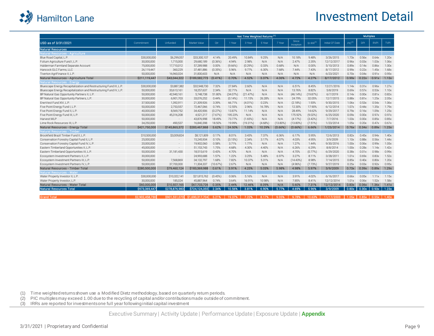<span id="page-9-0"></span>

### Investment Detail

|                                                                    |               |               |               | Net Time Weighted Returns <sup>(1)</sup> |            |            |        |             |                    |                   | <b>Multiples</b> |             |            |             |             |
|--------------------------------------------------------------------|---------------|---------------|---------------|------------------------------------------|------------|------------|--------|-------------|--------------------|-------------------|------------------|-------------|------------|-------------|-------------|
| USD as of 3/31/2021                                                | Commitment    | Unfunded      | Market Value  | Otr                                      | 1 Year     | 3 Year     | 5 Year | 7 Year      | Since<br>Inception | $SI$ IRR $^{(3)}$ | Initial CF Date  | $PIC^{(2)}$ | <b>DPI</b> | <b>RVPI</b> | <b>TVPI</b> |
| <b>Natural Resources</b>                                           |               |               |               |                                          |            |            |        |             |                    |                   |                  |             |            |             |             |
| Natural Resources - Agriculture                                    |               |               |               |                                          |            |            |        |             |                    |                   |                  |             |            |             |             |
| Blue Road Capital, L.P.                                            | \$30,000,000  | \$6,299,057   | \$33,300,107  | 4.14%                                    | 20.49%     | 10.84%     | 9.25%  | N/A         | 10.18%             | 9.48%             | 3/26/2015        | 1.73x       | 0.56x      | 0.64x       | 1.20x       |
| Folium Agriculture Fund I, L.P.                                    | 30,000,000    | 1.715.000     | 29,680,189    | $(0.36\%)$                               | 4.94%      | 2.98%      | N/A    | N/A         | 2.47%              | 2.35%             | 12/12/2017       | 0.96x       | 0.03x      | 1.03x       | 1.06x       |
| Halderman Farmland Separate Account                                | 75,000,000    | 17,710,012    | 57,289,988    | 0.00%                                    | $(9.66\%)$ | (0.29%)    | 0.33%  | 0.68%       | N/A                | 0.00%             | 5/10/2013        | 0.89x       | 0.14x      | 0.86x       | 1.00x       |
| Hancock GLC Farms, LLC                                             | 26,119,447    | 360,229       | 37,481,886    | (0.35%                                   | 5.96%      | 9.77%      | 6.30%  | 7.68%       | 7.44%              | 7.43%             | 8/17/2012        | 0.99x       | 0.22x      | 1.45x       | 1.68x       |
| Tiverton AgriFinance II, L.P.                                      | 50,000,000    | 16.960.024    | 31.830.603    | N/A                                      | N/A        | N/A        | N/A    | N/A         | N/A                | N/A               | 6/23/2021        | 0.70x       | 0.04x      | 0.91x       | 0.95x       |
| Natural Resources - Agriculture Total                              | \$211,119,447 | \$43,044,322  | \$189,582,773 | (0.41%                                   | 0.70%      | 4.52%      | 3.37%  | 4.06%       | 4.72%              | 4.27%             | 8/17/2012        | 0.99x       | 0.22x      | 0.91x       | 1.13x       |
| Natural Resources - Energy                                         |               |               |               |                                          |            |            |        |             |                    |                   |                  |             |            |             |             |
| Bluescape Energy Recapitalization and Restructuring Fund III, L.P. | \$30,000,000  | \$3,887,382   | \$32,948,730  | 7.32%                                    | 27.84%     | 2.60%      | N/A    | N/A         | 6.51%              | 8.45%             | 12/21/2016       | 114x        | 0.31x      | 0.96x       | 1.27x       |
| Bluescape Energy Recapitalization and Restructuring Fund IV, L.P.  | 50,000,000    | 33,613,161    | 18,257,637    | 2.34%                                    | 32.71%     | N/A        | N/A    | N/A         | 13.76%             | 8.82%             | 5/8/2019         | 0.69x       | 0.57x      | 0.53x       | 1.10x       |
| BP Natural Gas Opportunity Partners II, L.P.                       | 50,000,000    | 42.940.161    | 5,748,738     | 51.80%                                   | (34.07%)   | (21.47%)   | N/A    | N/A         | (46.14%            | (19.87%)          | 6/7/2019         | 0.14x       | 0.00x      | 0.81x       | 0.82x       |
| BP Natural Gas Opportunity Partners, L.P.                          | 30,000,000    | 6,901,703     | 33,076,252    | 0.44%                                    | (0.14%)    | 11.15%     | 26.28% | N/A         | 24.79%             | 32.05%            | 12/7/2015        | 0.88x       | 0.81x      | 1.25x       | 2.05x       |
| EnerVest Fund XIV, L.P.                                            | 37,500,000    | 1,392,911     | 21,309,926    | 3.39%                                    | 66.71%     | $(4.01\%)$ | 0.23%  | N/A         | (2.18%             | 1.93%             | 9/30/2015        | 1.06x       | 0.53x      | 0.54x       | 1.06x       |
| Five Point Energy Fund I. L.P.                                     | 50,000,000    | 2,753,557     | 72,467,066    | 0.74%                                    | 12.55%     | 2.96%      | 16.78% | N/A         | 12.30%             | 17.90%            | 6/12/2014        | 1.07x       | 0.44x      | 1.35x       | 1.79x       |
| Five Point Energy Fund II, L.P.                                    | 40,000,000    | 8,569,752     | 34,420,906    | (0.27%                                   | 13.87%     | 11.14%     | N/A    | N/A         | 28.49%             | 14.62%            | 9/29/2017        | 0.79x       | 0.16x      | 1.09x       | 1.25x       |
| Five Point Energy Fund III, L.P.                                   | 50,000,000    | 45,316,208    | 4,521,217     | (7.67%)                                  | 195.23%    | N/A        | N/A    | N/A         | 175.92%            | $(9.02\%)$        | 6/25/2020        | 0.09x       | 0.00x      | 0.97x       | 0.97x       |
| Harvest MLP                                                        | 50,000,000    | $\sim$        | 43,876,998    | 18.49%                                   | 73.77%     | (1.65%)    | N/A    | N/A         | (4.17%             | (3.42%            | 7/7/2016         | 1.03x       | 0.00x      | 0.85x       | 0.85x       |
| Lime Rock Resources III. L.P.                                      | 34,250,000    | 490.537       | 16.840.398    | 18.50%                                   | 19.99%     | (19.31%)   | (4.68% | $(13.80\%)$ | (13.80%            | (7.51%)           | 1/23/2014        | 1.05x       | 0.20x      | 0.47x       | 0.67x       |
| Natural Resources - Energy Total                                   | \$421,750,000 | \$145,865,372 | \$283,467,868 | 5.62%                                    | 24.50%     | 1.03%      | 10.29% | (0.66%)     | (0.66%)            | 6.66%             | 1/23/2014        | 0.76x       | 0.34x      | 0.89x       | 1.23x       |
| Natural Resources - Timbel                                         |               |               |               |                                          |            |            |        |             |                    |                   |                  |             |            |             |             |
| Brookfield Brazil Timber Fund II, L.P.                             | \$10,500,000  | \$3,009,824   | \$8,121,809   | 0.17%                                    | 8.01%      | 3.43%      | 7.37%  | 6.36%       | 6.17%              | 5.95%             | 12/6/2013        | 0.82x       | 0.45x      | 0.94x       | 1.40x       |
| Conservation Forestry Capital Fund II, L.P.                        | 25,000,000    |               | 15,245,934    | 0.10%                                    | (3.15%)    | 2.34%      | 3.17%  | 4.07%       | 4.03%              | 4.95%             | 3/9/2009         | 1.10x       | 0.88x      | 0.56x       | 1.44x       |
| Conservation Forestry Capital Fund IV, L.P.                        | 20,000,000    |               | 19,902,060    | 0.58%                                    | 3.71%      | 1.77%      | N/A    | N/A         | 1.27%              | 1.44%             | 9/30/2016        | 1.00x       | 0.06x      | 0.99x       | 1.05x       |
| Eastern Timberland Opportunities II, L.P.                          | 45,000,000    | $\sim$        | 51,153,743    | 1.75%                                    | 4.68%      | 4.30%      | 4.40%  | N/A         | 6.26%              | 6.29%             | 8/8/2014         | 1.00x       | 0.28x      | 114x        | 1.42x       |
| Eastern Timberland Opportunities III, L.P                          | 50,000,000    | 31,181,430    | 18,515,619    | 0.43%                                    | 470%       | N/A        | N/A    | N/A         | 4.70%              | (0.77%            | 6/29/2020        | 0.38x       | 0.01x      | 0.98x       | 0.99x       |
| Ecosystem Investment Partners II, L.P.                             | 30,000,000    | $\sim$        | 24.993.688    | 1.57%                                    | 1.22%      | 3.25%      | 5.48%  | 6.97%       | 3.27%              | 8.11%             | 3/28/2011        | 1.01x       | 0.69x      | 0.83x       | 1.52x       |
| Ecosystem Investment Partners III, L.P.                            | 50,000,000    | 7,568,869     | 34,132,797    | 1.68%                                    | 7.82%      | 10.37%     | 5.31%  | N/A         | $(14.43\%)$        | 8.98%             | 7/14/2015        | 0.85x       | 0.40x      | 0.80x       | 1.20x       |
| Ecosystem Investment Partners IV, L.P.                             | 50,000,000    | 37,700,000    | 11,304,337    | (10.67%                                  | 2.67%      | N/A        | N/A    | N/A         | (4.96%             | (7.73%)           | 9/27/2019        | 0.25x       | 0.03x      | 0.92x       | 0.95x       |
| Natural Resources - Timber Total                                   | \$280,500,000 | \$79,460,124  | \$183,369,988 | 0.61%                                    | 3.91%      | 4.25%      | 5.03%  | 5.98%       | 4.98%              | 5.97%             | 3/9/2009         | 0.73x       | 0.39x      | 0.89x       | 1.29x       |
| Natural Resources - Water                                          |               |               |               |                                          |            |            |        |             |                    |                   |                  |             |            |             |             |
| Water Property Investor II, L.P.                                   | \$30,000,000  | \$10,322,141  | \$21,815,762  | (0.45%)                                  | 0.06%      | 5.16%      | N/A    | N/A         | 3.91%              | 4.02%             | 6/16/2017        | 0.66x       | 0.05x      | 111x        | 1.15x       |
| Water Property Investor, L.P.                                      | 30,000,000    | 185,024       | 45,887,964    | 0.74%                                    | 3.64%      | 16.91%     | 10.98% | N/A         | 7.85%              | 8.41%             | 12/12/2014       | 1.01x       | 0.06x      | 1.52x       | 1.58x       |
| Natural Resources - Water Total                                    | \$60,000,000  | \$10,507,165  | \$67,703,726  | 0.35%                                    | 2.44%      | 12.46%     | 8.09%  | N/A         | 5.60%              | 7.31%             | 12/12/2014       | 0.83x       | 0.06x      | 1.36x       | 1.41x       |
| <b>Natural Resources Total</b>                                     | \$973,369,447 | \$278,876,983 | \$724,124,355 | 2.34%                                    | 10.56%     | 3.81%      | 6.90%  | 5.77%       | 4.69%              | 5.96%             | 3/9/2009         | 0.80x       | 0.30x      | 0.93x       | 1.23x       |
|                                                                    |               |               |               |                                          |            |            |        |             |                    |                   |                  |             |            |             |             |

Grand Total \$2,902,458,730 \$901,551,073 \$1,690,317,704 5.21% 7.22% 8.17% 9.05% 9.78% 10.63% 11/17/2003 1.05x 0.85x 0.55x 1.40x

(1) Time weighted returns shown use a Modified Dietz methodology, based on quarterly return periods.

(2) PIC multiples may exceed 1.00 due to the recycling of capital and/or contributions made outside of commitment.

(3) IRRs are reported for investments one full year following initial capital investment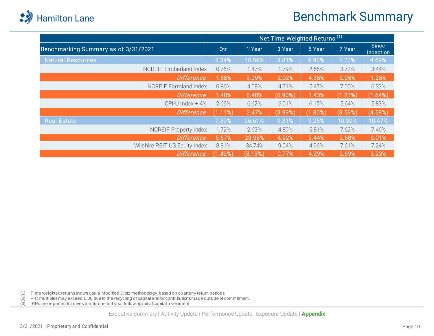

## Benchmark Summary

|                                      | Net Time Weighted Returns <sup>(1)</sup> |         |            |            |         |                           |  |  |  |
|--------------------------------------|------------------------------------------|---------|------------|------------|---------|---------------------------|--|--|--|
| Benchmarking Summary as of 3/31/2021 | Qtr                                      | 1 Year  | 3 Year     | 5 Year     | 7 Year  | <b>Since</b><br>Inception |  |  |  |
| <b>Natural Resources</b>             | 2.34%                                    | 10.56%  | 3.81%      | 6.90%      | 5.77%   | 4.69%                     |  |  |  |
| <b>NCREIF Timberland Index</b>       | 0.76%                                    | 1.47%   | 1.79%      | 2.55%      | 3.72%   | 3.44%                     |  |  |  |
| <b>Difference</b>                    | 1.58%                                    | 9.09%   | 2.02%      | 4.35%      | 2.05%   | 1.25%                     |  |  |  |
| <b>NCREIF Farmland Index</b>         | 0.86%                                    | 4.08%   | 4.71%      | 5.47%      | 7.00%   | 6.33%                     |  |  |  |
| <b>Difference</b>                    | 1.48%                                    | 6.48%   | $(0.90\%)$ | 1.43%      | (1.23%) | (1.64%)                   |  |  |  |
| $CPI-U$ Index + 4%                   | 2.69%                                    | 6.62%   | 6.01%      | 6.15%      | 5.64%   | 5.83%                     |  |  |  |
| Difference                           | (1.11%)                                  | 2.47%   | (3.99%)    | $(1.80\%)$ | (3.59%) | (4.58%)                   |  |  |  |
| <b>Real Estate</b>                   | 7.39%                                    | 26.61%  | 9.81%      | 9.25%      | 10.30%  | 10.47%                    |  |  |  |
| <b>NCREIF Property Index</b>         | 1.72%                                    | 2.63%   | 4.89%      | 5.81%      | 7.62%   | 7.46%                     |  |  |  |
| <b>Difference</b>                    | 5.67%                                    | 23.98%  | 4.92%      | 3.44%      | 2.68%   | 3.01%                     |  |  |  |
| Wilshire REIT US Equity Index        | 8.81%                                    | 34.74%  | 9.04%      | 4.96%      | 7.61%   | 7.24%                     |  |  |  |
| <b>Difference</b>                    | (1.42%)                                  | (8.13%) | 0.77%      | 4.29%      | 2.69%   | 3.23%                     |  |  |  |

(1) Time weighted returns shown use a Modified Dietz methodology, based on quarterly return periods.

(2) PIC multiples may exceed 1.00 due to the recycling of capital and/or contributions made outside of commitment.

(3) IRRs are reported for investments one full year following initial capital investment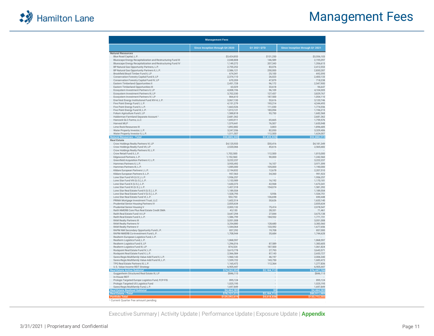

### Management Fees

| <b>Management Fees</b>                                                                 |                                 |                    |                                 |  |  |  |  |  |
|----------------------------------------------------------------------------------------|---------------------------------|--------------------|---------------------------------|--|--|--|--|--|
|                                                                                        | Since Inception through Q4 2020 | Q1 2021 QTD        | Since Inception through Q1 2021 |  |  |  |  |  |
| <b>Natural Resources</b>                                                               |                                 |                    |                                 |  |  |  |  |  |
| Blue Road Capital, L.P.                                                                | \$3,424,853                     | \$131,250          | \$3,556,103                     |  |  |  |  |  |
| Bluescape Energy Recapitalization and Restructuring Fund III                           | 2,048,808                       | 146,589            | 2,195,397                       |  |  |  |  |  |
| Bluescape Energy Recapitalization and Restructuring Fund IV                            | 1,149,272                       | 207,343            | 1,356,615                       |  |  |  |  |  |
| BP Natural Gas Opportunity Partners, L.P.                                              | 2,755,252                       | 83,076             | 2,412,553                       |  |  |  |  |  |
| BP Natural Gas Opportunity Partners II, L.P.                                           | 2,586,121                       | 250,000            | 2,830,287                       |  |  |  |  |  |
| Brookfield Brazil Timber Fund II, LP<br>Conservation Forestry Capital Fund II, LP      | 674,341<br>2,374,110            | 25,100<br>26,023   | 692,595<br>2,400,133            |  |  |  |  |  |
| Conservation Forestry Capital Fund IV, LP                                              | 670,359                         | 47,879             | 718,238                         |  |  |  |  |  |
| Eastern Timberland Opportunities II                                                    | 2,451,728                       | 96,172             | 2,547,900                       |  |  |  |  |  |
| Eastern Timberland Opportunities III                                                   | 63,029                          | 33,618             | 96,647                          |  |  |  |  |  |
| Ecosystem Investment Partners II, LP                                                   | 4,008,196                       | 96,109             | 4,104,305                       |  |  |  |  |  |
| Ecosystem Investment Partners III, LP                                                  | 3,702,330                       | 127,437            | 3,829,767                       |  |  |  |  |  |
| Ecosystem Investment Partners IV, LP                                                   | 866,610                         | 187,500            | 1,054,110                       |  |  |  |  |  |
| EnerVest Energy Institutional Fund XIV-A, L.P.                                         | 3,067,130                       | 53,616             | 3,120,746                       |  |  |  |  |  |
| Five Point Energy Fund I, L.P.<br>Five Point Energy Fund II, L.P.                      | 4,151,279<br>1,663,526          | 193,214<br>111,030 | 4,344,493<br>1,774,556          |  |  |  |  |  |
| Five Point Energy Fund III, L.P.                                                       | 1,013,121                       | 183,094            | 1,196,215                       |  |  |  |  |  |
| Folium Agriculture Fund I, LP                                                          | 1,588,818                       | 93,750             | 1,682,568                       |  |  |  |  |  |
| Halderman Farmland Separate Account <sup>1</sup>                                       | 2,681,362                       |                    | 2,681,362                       |  |  |  |  |  |
| Hancock GLC Farms, LLC                                                                 | 1,693,911                       | 65,665             | 1,759,576                       |  |  |  |  |  |
| Harvest MLP                                                                            | 1,579,441                       | 76,507             | 1,655,948                       |  |  |  |  |  |
| Lime Rock Resources III                                                                | 1,892,882                       | 3,803              | 1,896,685                       |  |  |  |  |  |
| Water Property Investor, L.P.                                                          | 3,247,356                       | 82,050             | 3,329,406                       |  |  |  |  |  |
| Water Property Investor II, L.P.                                                       | 1,511,507                       | 112,500            | 1,624,007                       |  |  |  |  |  |
| <b>Natural Resources - Total</b>                                                       | \$50,865,342                    | \$2,433,326        | \$52,860,213                    |  |  |  |  |  |
| <b>Real Estate</b>                                                                     |                                 |                    |                                 |  |  |  |  |  |
| Crow Holdings Realty Partners VI, LP<br>Crow Holdings Realty Fund VII, LP              | \$4,125,933<br>2,520,066        | \$55,416<br>45,616 | \$4,181,349<br>2,565,682        |  |  |  |  |  |
| Crow Holdings Realty Partners IX, L.P.                                                 |                                 |                    |                                 |  |  |  |  |  |
| Crow Retail Fund II, L.P.                                                              | 1,702,500                       | 112,500            | 1,815,000                       |  |  |  |  |  |
| Edgewood Partners, L.P.                                                                | 1,152,560                       | 90,000             | 1,242,560                       |  |  |  |  |  |
| Greenfield Acquisition Partners V, L.P.                                                | 3,222,237                       |                    | 3,222,237                       |  |  |  |  |  |
| Hammes Partners II, L.P.                                                               | 3,955,492                       | 16,107             | 3,971,599                       |  |  |  |  |  |
| Hammes Partners III, L.P.                                                              | 1,085,000                       | 105,000            | 1,190,000                       |  |  |  |  |  |
| Kildare European Partners I, L.P.                                                      | 2,194,832                       | 12,678             | 2,207,510                       |  |  |  |  |  |
| Kildare European Partners II, L.P.                                                     | 957,563                         | 34,360             | 991,923                         |  |  |  |  |  |
| Lone Star Fund VII (U.S.), L.P.                                                        | 1,956,257                       |                    | 1,956,257                       |  |  |  |  |  |
| Lone Star Fund VIII (U.S.), L.P.                                                       | 1,153,989<br>1,630,373          | 16,192<br>42,968   | 1,170,181<br>1,673,341          |  |  |  |  |  |
| Lone Star Fund X (U.S.), L.P.<br>Lone Star Fund XI (U.S.), L.P.                        | 1,427,318                       | 154,074            | 1,581,392                       |  |  |  |  |  |
| Lone Star Real Estate Fund II (U.S.), L.P.                                             | 1,189,554                       |                    | 1,189,554                       |  |  |  |  |  |
| Lone Star Real Estate Fund V (U.S.), L.P.                                              | 1,528,795                       | 5.956              | 1,534,751                       |  |  |  |  |  |
| Lone Star Real Estate Fund VI, L.P.                                                    | 553,750                         | 136,698            | 690,448                         |  |  |  |  |  |
| PRIMA Mortgage Investment Trust, LLC                                                   | 1,602,514                       | 30,626             | 1,633,140                       |  |  |  |  |  |
| Prudential Senior Housing Partners IV                                                  | 2,835,634                       |                    | 2,835,634                       |  |  |  |  |  |
| Prudential Senior Housing V                                                            | 2,003,132                       | 75,414             | 2,078,547                       |  |  |  |  |  |
| Raith NMERB Core Plus Real Estate Credit SMA                                           | 43,130                          | 28,331             | 71,461                          |  |  |  |  |  |
| Raith Real Estate Fund I-A LP                                                          | 3,647,294                       | 27,844             | 3,675,138                       |  |  |  |  |  |
| Raith Real Estate Fund II, L.P.                                                        | 1,586,799                       | 184,932            | 1,771,731                       |  |  |  |  |  |
| <b>RAM Realty Partners III</b><br><b>RAM Realty Partners IV</b>                        | 3,051,008<br>3,254,880          | 128,680            | 3,051,008<br>3,383,560          |  |  |  |  |  |
| RAM Realty Partners V                                                                  | 1,544,064                       | 133,592            | 1,677,656                       |  |  |  |  |  |
| RAPM NM Secondary Opportunity Fund L.P.                                                | 837,292                         | 19,708             | 857,000                         |  |  |  |  |  |
| RAPM-NMERB Co-Investment Fund L.P.                                                     | 1,708,944                       | 35,684             | 1,744,628                       |  |  |  |  |  |
| Realterm European Logistics Fund, L.P.                                                 |                                 |                    |                                 |  |  |  |  |  |
| Realterm Logistics Fund, L.P.                                                          | 1,868,597                       |                    | 1,868,597                       |  |  |  |  |  |
| Realterm Logistics Fund II, LP                                                         | 1,296,016                       | 87,589             | 1,383,605                       |  |  |  |  |  |
| Realterm Logistics Fund III, LP                                                        | 874,324                         | 187,500            | 1,061,824                       |  |  |  |  |  |
| Rockpoint Real Estate Fund IV, L.P.                                                    | 3,615,778                       | 27,793             | 3,643,571                       |  |  |  |  |  |
| Rockpoint Real Estate Fund V, L.P.                                                     | 2,566,584                       | 87,143             | 2,653,727                       |  |  |  |  |  |
| Sares-Regis Multifamily Value-Add Fund II, L.P.                                        | 1,960,143                       | 46,197             | 2,006,340                       |  |  |  |  |  |
| Sares-Regis Multifamily Value-Add Fund III, L.P.<br>TPG Real Estate Partners III, L.P. | 1,539,722<br>1,165,472          | 143,750<br>112,364 | 1,683,472<br>1,277,836          |  |  |  |  |  |
| U.S. Value Income REIT Strategy                                                        | 6,905,447                       |                    | 6,905,447                       |  |  |  |  |  |
| <b>Real Estate Active Subtotal</b>                                                     | \$74,262,994                    | \$2.184.712        | \$76,447,706                    |  |  |  |  |  |
| Guggenheim Structured Real Estate III, LP<br>In-House REIT                             | \$846,115                       |                    | \$846,115                       |  |  |  |  |  |
| Prologis Targeted Europe Logistics Fund, FCP-FIS                                       | 895,124                         |                    | 895,124                         |  |  |  |  |  |
| Prologis Targeted US Logistics Fund                                                    | 1,025,195                       |                    | 1,025,195                       |  |  |  |  |  |
| Sares-Regis Multifamily Fund, L.P                                                      | 1,697,849                       |                    | 1,697,849                       |  |  |  |  |  |
| <b>Real Estate Realized Subtotal</b>                                                   | \$4,464,283                     | \$0                | \$4,464,283                     |  |  |  |  |  |
| <b>Real Estate - Total</b>                                                             | \$78,727,277                    | \$2,184,712        | \$80,911,989                    |  |  |  |  |  |
| <b>Portfolio Total</b><br>Current Quarter Fee amount pending                           | \$129.592.619                   | \$4,618,03         | \$133,772,20:                   |  |  |  |  |  |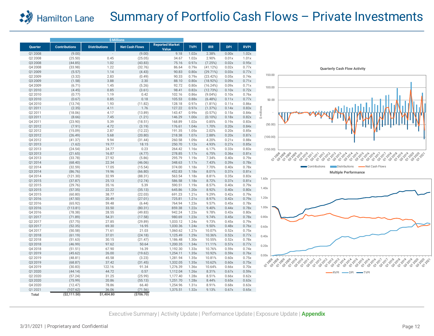#### Summary of Portfolio Cash Flows – Private Investments **Hamilton Lane** 2.9

|                    |                      |                      | <b>\$ Millions</b>    |                                 |                |                |                |                |            |                                                                                                                                                                                                                                                                 |
|--------------------|----------------------|----------------------|-----------------------|---------------------------------|----------------|----------------|----------------|----------------|------------|-----------------------------------------------------------------------------------------------------------------------------------------------------------------------------------------------------------------------------------------------------------------|
| Quarter            | <b>Contributions</b> | <b>Distributions</b> | <b>Net Cash Flows</b> | <b>Reported Market</b><br>Value | <b>TVPI</b>    | <b>IRR</b>     | <b>DPI</b>     | <b>RVPI</b>    |            |                                                                                                                                                                                                                                                                 |
| Q1 2008            | (9.00)               |                      | (9.00)                | 9.18                            | 1.02x          | 2.38%          | 0.00x          | 1.02x          |            |                                                                                                                                                                                                                                                                 |
| Q2 2008            | (25.50)              | 0.45                 | (25.05)               | 34.67                           | 1.02x          | 2.90%          | 0.01x          | 1.01x          |            |                                                                                                                                                                                                                                                                 |
| Q3 2008            | (44.85)              | 1.02                 | (43.83)               | 75.16                           | 0.97x          | (7.25%)        | 0.02x          | 0.95x          |            |                                                                                                                                                                                                                                                                 |
| Q4 2008            | (33.98)              | 1.22                 | (32.76)               | 86.64                           | 0.79x          | (41.12%)       | 0.02x          | 0.77x          |            | <b>Quarterly Cash Flow Activity</b>                                                                                                                                                                                                                             |
| Q1 2009            | (5.57)               | 1.14                 | (4.43)                | 90.83                           | 0.80x          | (29.71%)       | 0.03x          | 0.77x          |            |                                                                                                                                                                                                                                                                 |
| Q2 2009            | (3.32)               | 2.83                 | (0.49)                | 90.33                           | 0.79x          | (23.42%        | 0.05x          | 0.74x          | 150.00     |                                                                                                                                                                                                                                                                 |
| Q3 2009            | (1.58)               | 3.88                 | 2.30                  | 88.10                           | 0.80x          | (18.92%)       | 0.09x          | 0.71x          |            |                                                                                                                                                                                                                                                                 |
| Q4 2009            | (6.71)               | 1.45                 | (5.26)                | 92.72                           | 0.80x          | (16.24%)       | 0.09x          | 0.71x          | 100.00     |                                                                                                                                                                                                                                                                 |
| Q1 2010            | (4.45)               | 0.85                 | (3.61)                | 98.41                           | 0.82x          | (12.73%)       | 0.10x          | 0.72x          |            |                                                                                                                                                                                                                                                                 |
| Q2 2010            | (0.77)               | 1.19                 | 0.42                  | 102.16                          | 0.86x          | $(9.04\%)$     | 0.10x          | 0.76x          |            |                                                                                                                                                                                                                                                                 |
| Q3 2010            | (0.67)               | 0.85                 | 0.18                  | 105.53                          | 0.88x          | (6.48%)        | 0.11x          | 0.77x          | 50.00      |                                                                                                                                                                                                                                                                 |
| Q4 2010            | (13.74)              | 1.93                 | (11.82)               | 128.18                          | 0.97x          | (1.81%)        | 0.11x          | 0.86x          |            |                                                                                                                                                                                                                                                                 |
| Q1 2011            | (2.35)               | 4.11                 | 1.76                  | 127.22                          | 0.97x          | (1.37%)        | 0.14x          | 0.83x          | \$millions |                                                                                                                                                                                                                                                                 |
| Q2 2011            | (18.06)              | 4.17                 | (13.89)               | 143.47                          | 0.99x          | (0.57%)        | 0.15x          | 0.84x          |            |                                                                                                                                                                                                                                                                 |
| Q3 2011            | (8.66)               | 7.45                 | (1.21)                | 146.29                          | 1.00x          | $(0.10\%)$     | 0.18x          | 0.82x          |            |                                                                                                                                                                                                                                                                 |
| Q4 2011            | (23.90)              | 5.39                 | (18.51)               | 168.89                          | 1.02x          | 0.85%          | 0.19x          | 0.83x          | (50.00)    |                                                                                                                                                                                                                                                                 |
| Q1 2012            | (7.91)               | 4.72                 | (3.19)                | 176.61                          | 1.04x          | 1.70%          | 0.20x          | 0.84x          |            |                                                                                                                                                                                                                                                                 |
| Q2 2012            | (15.09)              | 2.87                 | (12.22)               | 191.35                          | 1.05x          | 2.02%          | 0.20x          | 0.85x          |            |                                                                                                                                                                                                                                                                 |
| Q3 2012            | (26.49)              | 5.68                 | (20.80)               | 218.38                          | 1.07x          | 2.88%          | 0.20x          | 0.87x          | (100.00)   |                                                                                                                                                                                                                                                                 |
| Q4 2012            | (41.37)              | 9.94                 | (31.44)               | 260.58                          | 1.09x          | 4.20%          | 0.21x          | 0.88x          |            |                                                                                                                                                                                                                                                                 |
| Q1 2013            | (1.62)               | 19.77                | 18.15                 | 250.70                          | 1.12x          | 4.93%          | 0.27x          | 0.85x          |            |                                                                                                                                                                                                                                                                 |
| Q2 2013            | (24.54)              | 24.77                | 0.23                  | 264.42                          | 1.16x          | 6.17%          | 0.33x          | 0.83x          | (150.00)   |                                                                                                                                                                                                                                                                 |
| Q3 2013            | (21.65)              | 16.87                | (4.77)                | 278.85                          | 1.17x          | 6.75%          | 0.36x          | 0.81x          |            | 01-23-208-209-209<br>03-03-03-03-03-03-03-03<br>019-019-01-1                                                                                                                                                                                                    |
| Q4 2013            | (33.78)              | 27.92                | (5.86)                | 295.79                          | 1.19x          | 7.34%          | 0.40x          | 0.79x          |            | 01-2010<br>23-2010-11<br>Q1.2012<br>032012<br>01-2013<br>03-2015<br>01-2016<br>03-2017<br>01-2018<br>03-2011<br>03-2018<br>01-2019<br>032019<br>032020                                                                                                          |
| Q1 2014            | (68.40)              | 22.34                | (46.06)               | 348.63                          | 1.17x          | 7.43%          | 0.39x          | 0.78x          |            | <b>Contributions</b><br>Distributions<br>Net Cash Flows                                                                                                                                                                                                         |
| Q2 2014            | (32.59)              | 17.05                | (15.54)               | 374.00                          | 1.18x          | 7.70%          | 0.40x          | 0.78x          |            |                                                                                                                                                                                                                                                                 |
| Q3 2014            | (86.76)              | 19.96                | (66.80)               | 452.83                          | 1.18x          | 8.01%          | 0.37x          | 0.81x          |            | <b>Multiple Performance</b>                                                                                                                                                                                                                                     |
| Q4 2014            | (121.30)             | 32.99                | (88.31)               | 563.54                          | 1.18x          | 8.81%          | 0.35x          | 0.83x          | 1.60x      |                                                                                                                                                                                                                                                                 |
| Q1 2015            | (37.87)              | 25.13                | (12.74)               | 586.58                          | 1.18x<br>1.19x | 8.72%<br>8.57% | 0.37x          | 0.81x          |            |                                                                                                                                                                                                                                                                 |
| Q2 2015<br>Q3 2015 | (29.76)<br>(57.35)   | 35.16<br>22.22       | 5.39<br>(35.13)       | 590.51<br>645.86                | 1.20x          | 8.92%          | 0.40x<br>0.40x | 0.79x<br>0.80x | 1.40x      |                                                                                                                                                                                                                                                                 |
| Q4 2015            | (60.80)              | 38.77                | (22.03)               | 691.23                          | 1.21x          | 9.29%          | 0.42x          | 0.79x          |            |                                                                                                                                                                                                                                                                 |
| Q1 2016            | (47.50)              | 20.49                | (27.01)               | 725.81                          | 1.21x          | 8.97%          | 0.42x          | 0.79x          | 1.20x      |                                                                                                                                                                                                                                                                 |
| Q2 2016            | (65.92)              | 59.48                | (6.44)                | 764.94                          | 1.23x          | 9.57%          | 0.45x          | 0.78x          |            |                                                                                                                                                                                                                                                                 |
| Q3 2016            | (113.81)             | 33.50                | (80.31)               | 859.38                          | 1.22x          | 9.40%          | 0.44x          | 0.78x          | 1.00x      |                                                                                                                                                                                                                                                                 |
| Q4 2016            | (78.38)              | 28.55                | (49.83)               | 942.24                          | 1.23x          | 9.78%          | 0.43x          | 0.80x          |            |                                                                                                                                                                                                                                                                 |
| Q1 2017            | (71.89)              | 54.31                | (17.58)               | 980.69                          | 1.23x          | 9.74%          | 0.45x          | 0.78x          | 0.80x      |                                                                                                                                                                                                                                                                 |
| Q2 2017            | (57.75)              | 27.85                | (29.89)               | 1,033.12                        | 1.24x          | 9.73%          | 0.45x          | 0.79x          |            |                                                                                                                                                                                                                                                                 |
| Q3 2017            | (52.35)              | 69.30                | 16.95                 | 1,030.36                        | 1.24x          | 9.50%          | 0.48x          | 0.76x          | 0.60x      |                                                                                                                                                                                                                                                                 |
| Q4 2017            | (50.58)              | 71.61                | 21.03                 | 1,060.62                        | 1.27x          | 10.07%         | 0.52x          | 0.75x          |            |                                                                                                                                                                                                                                                                 |
| Q1 2018            | (61.19)              | 37.01                | (24.18)               | 1,125.49                        | 1.29x          | 10.36%         | 0.52x          | 0.77x          | 0.40x      |                                                                                                                                                                                                                                                                 |
| Q2 2018            | (51.63)              | 30.15                | (21.47)               | 1,186.48                        | 1.30x          | 10.55%         | 0.52x          | 0.78x          |            |                                                                                                                                                                                                                                                                 |
| Q3 2018            | (46.99)              | 97.62                | 50.64                 | 1,200.35                        | 1.34x          | 11.11%         | 0.57x          | 0.77x          | 0.20x      |                                                                                                                                                                                                                                                                 |
| Q4 2018            | (51.51)              | 67.90                | 16.39                 | 1,192.30                        | 1.33x          | 10.76%         | 0.59x          | 0.74x          |            |                                                                                                                                                                                                                                                                 |
| Q1 2019            | (45.62)              | 26.00                | (19.62)               | 1,254.11                        | 1.35x          | 10.92%         | 0.59x          | 0.76x          | 0.00x      |                                                                                                                                                                                                                                                                 |
| Q2 2019            | (48.81)              | 45.58                | (3.23)                | 1,281.94                        | 1.35x          | 10.81%         | 0.60x          | 0.75x          |            |                                                                                                                                                                                                                                                                 |
| Q3 2019            | (68.87)              | 37.42                | (31.45)               | 1,332.05                        | 1.35x          | 10.62%         | 0.60x          | 0.75x          | 032208     | 12009<br>01-2010<br>032010<br>0322009<br>01-2011<br>01-2012<br>032012<br>01-2013<br>032013<br>2014<br>22014<br>01-2015<br>03-2015<br>01-2016<br>032016<br>01-2017<br>01-2018<br>032018<br>032019<br>032011<br>032017<br>01-2019<br>01-2020<br>032020<br>01-2021 |
| Q4 2019            | (30.83)              | 122.16               | 91.34                 | 1,276.39                        | 1.36x          | 10.64%         | 0.66x          | 0.70x          | ≎          | ೆ                                                                                                                                                                                                                                                               |
| Q1 2020            | (44.14)              | 44.72                | 0.57                  | 1,112.04                        | 1.26x          | 8.31%          | 0.67x          | 0.59x          |            | $-$ TVPI<br><b>RVPI</b><br>-DPI                                                                                                                                                                                                                                 |
| Q2 2020            | (57.24)              | 31.25                | (25.99)               | 1,177.40                        | 1.28x          | 8.51%          | 0.66x          | 0.62x          |            |                                                                                                                                                                                                                                                                 |
| Q3 2020            | (75.99)              | 20.86                | (55.13)               | 1,251.70                        | 1.28x          | 8.44%          | 0.65x          | 0.63x          |            |                                                                                                                                                                                                                                                                 |
| Q4 2020            | (12.47)              | 78.86                | 66.40                 | 1,254.96                        | 1.31x          | 8.91%          | 0.68x          | 0.63x          |            |                                                                                                                                                                                                                                                                 |
| Q1 2021            | (107.62)             | 36.06                | (71.56)               | 1,375.51                        | 1.32x          | 9.13%          | 0.67x          | 0.65x          |            |                                                                                                                                                                                                                                                                 |
| Total              | (S2, 111.50)         | \$1.404.80           | (S706.70)             |                                 |                |                |                |                |            |                                                                                                                                                                                                                                                                 |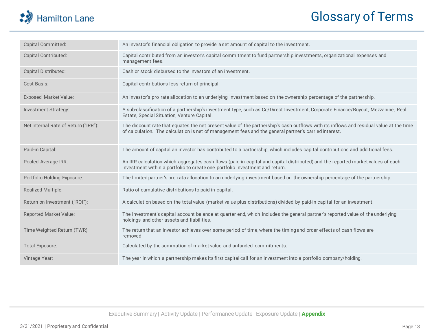## Hamilton Lane

## Glossary of Terms

| Capital Committed:                   | An investor's financial obligation to provide a set amount of capital to the investment.                                                                                                                                                         |
|--------------------------------------|--------------------------------------------------------------------------------------------------------------------------------------------------------------------------------------------------------------------------------------------------|
| Capital Contributed:                 | Capital contributed from an investor's capital commitment to fund partnership investments, organizational expenses and<br>management fees.                                                                                                       |
| Capital Distributed:                 | Cash or stock disbursed to the investors of an investment.                                                                                                                                                                                       |
| Cost Basis:                          | Capital contributions less return of principal.                                                                                                                                                                                                  |
| <b>Exposed Market Value:</b>         | An investor's pro rata allocation to an underlying investment based on the ownership percentage of the partnership.                                                                                                                              |
| Investment Strategy:                 | A sub-classification of a partnership's investment type, such as Co/Direct Investment, Corporate Finance/Buyout, Mezzanine, Real<br>Estate, Special Situation, Venture Capital.                                                                  |
| Net Internal Rate of Return ("IRR"): | The discount rate that equates the net present value of the partnership's cash outflows with its inflows and residual value at the time<br>of calculation. The calculation is net of management fees and the general partner's carried interest. |
| Paid-in Capital:                     | The amount of capital an investor has contributed to a partnership, which includes capital contributions and additional fees.                                                                                                                    |
| Pooled Average IRR:                  | An IRR calculation which aggregates cash flows (paid-in capital and capital distributed) and the reported market values of each<br>investment within a portfolio to create one portfolio investment and return.                                  |
| Portfolio Holding Exposure:          | The limited partner's pro rata allocation to an underlying investment based on the ownership percentage of the partnership.                                                                                                                      |
| Realized Multiple:                   | Ratio of cumulative distributions to paid-in capital.                                                                                                                                                                                            |
| Return on Investment ("ROI"):        | A calculation based on the total value (market value plus distributions) divided by paid-in capital for an investment.                                                                                                                           |
| <b>Reported Market Value:</b>        | The investment's capital account balance at quarter end, which includes the general partner's reported value of the underlying<br>holdings and other assets and liabilities.                                                                     |
| Time Weighted Return (TWR)           | The return that an investor achieves over some period of time, where the timing and order effects of cash flows are<br>removed                                                                                                                   |
| <b>Total Exposure:</b>               | Calculated by the summation of market value and unfunded commitments.                                                                                                                                                                            |
| Vintage Year:                        | The year in which a partnership makes its first capital call for an investment into a portfolio company/holding.                                                                                                                                 |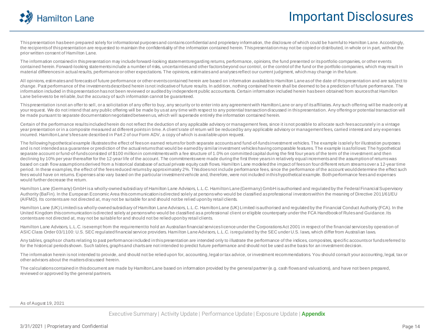

This presentation has been prepared solely for informational purposes and contains confidential and proprietary information, the disclosure of which could be harmful to Hamilton Lane. Accordingly, the recipients of this presentation are requested to maintain the confidentiality of the information contained herein. This presentation may not be copied or distributed, in whole or in part, without the prior written consent of Hamilton Lane.

The information contained in this presentation may include forward-looking statements regarding returns, performance, opinions, the fund presented or its portfolio companies, or other events contained herein. Forward-looking statements include a number of risks, uncertainties and other factors beyond our control, or the control of the fund or the portfolio companies, which may result in material differences in actual results, performance or other expectations. The opinions, estimates and analyses reflect our current judgment, which may change in the future.

All opinions, estimates and forecasts of future performance or other events contained herein are based on information available to Hamilton Lane as of the date of this presentation and are subject to change. Past performance of the investments described herein is not indicative of future results. In addition, nothing contained herein shall be deemed to be a prediction of future performance. The information included in this presentation has not been reviewed or audited by independent public accountants. Certain information included herein has been obtained from sources that Hamilton Lane believes to be reliable, but the accuracy of such information cannot be guaranteed.

This presentation is not an offer to sell, or a solicitation of any offer to buy, any security or to enter into any agreement with Hamilton Lane or any of its affiliates. Any such offering will be made only at your request. We do not intend that any public offering will be made by us at any time with respect to any potential transaction discussed in this presentation. Any offering or potential transaction will be made pursuant to separate documentation negotiated between us, which will supersede entirely the information contained herein.

Certain of the performance results included herein do not reflect the deduction of any applicable advisory or management fees, since it is not possible to allocate such fees accurately in a vintage year presentation or in a composite measured at different points in time. A client's rate of return will be reduced by any applicable advisory or management fees, carried interest and any expenses incurred. Hamilton Lane's fees are described in Part 2 of our Form ADV, a copy of which is available upon request.

The following hypothetical example illustrates the effect of fees on earned returns for both separate accounts and fund-of-fundsinvestment vehicles. The example is solely for illustration purposes and is not intended as a quarantee or prediction of the actual returns that would be earned by similar investment vehicles having comparable features. The example is as follows: The hypothetical separate account or fund-of-funds consisted of \$100 million in commitments with a fee structure of 1.0% on committed capital during the first four years of the term of the investment and then declining by 10% per year thereafter for the 12-year life of the account. The commitments were made during the first three years in relatively equal increments and the assumption of returns was based on cash flow assumptions derived from a historical database of actual private equity cash flows. Hamilton Lane modeled the impact of fees on four different return streams over a 12-year time period. In these examples, the effect of the fees reduced returns by approximately 2%. This does not include performance fees, since the performance of the account would determine the effect such fees would have on returns. Expenses also vary based on the particular investment vehicle and, therefore, were not included in this hypothetical example. Both performance fees and expenses would further decrease the return.

Hamilton Lane (Germany) GmbH is a wholly-owned subsidiary of Hamilton Lane Advisors, L.L.C. Hamilton Lane (Germany) GmbH is authorised and regulated by the Federal Financial Supervisory Authority (BaFin). In the European Economic Area this communication is directed solely at persons who would be classified as professional investors within the meaning of Directive 2011/61/EU (AIFMD). Its contents are not directed at, may not be suitable for and should not be relied upon by retail clients.

Hamilton Lane (UK) Limited is a wholly-owned subsidiary of Hamilton Lane Advisors, L.L.C. Hamilton Lane (UK) Limited is authorised and regulated by the Financial Conduct Authority (FCA). In the United Kingdom this communication is directed solely at persons who would be classified as a professional client or eligible counterparty under the FCA Handbook of Rules and Guidance. Its contents are not directed at, may not be suitable for and should not be relied upon by retail clients.

Hamilton Lane Advisors, L.L.C. is exempt from the requirement to hold an Australian financial services licence under the Corporations Act 2001 in respect of the financial services by operation of ASIC Class Order 03/1100: U.S. SEC regulated financial service providers. Hamilton Lane Advisors, L.L.C. is regulated by the SEC under U.S. laws, which differ from Australian laws.

Any tables, graphs or charts relating to past performance included in this presentation are intended only to illustrate the performance of the indices, composites, specific accounts or funds referred to for the historical periods shown. Such tables, graphs and charts are not intended to predict future performance and should not be used as the basis for an investment decision.

The information herein is not intended to provide, and should not be relied upon for, accounting, legal or tax advice, or investment recommendations. You should consult your accounting, legal, tax or other advisors about the matters discussed herein.

The calculations contained in this document are made by Hamilton Lane based on information provided by the general partner (e.g. cash flows and valuations), and have not been prepared, reviewed or approved by the general partners.

As of August 19, 2021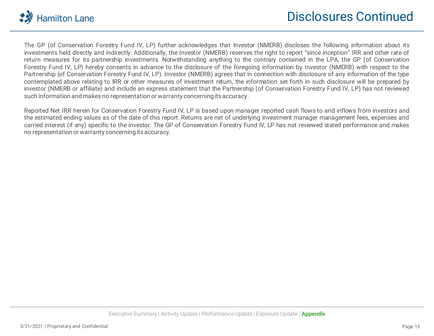

The GP (of Conservation Forestry Fund IV, LP) further acknowledges that Investor (NMERB) discloses the following information about its investments held directly and indirectly: Additionally, the Investor (NMERB) reserves the right to report "since inception" IRR and other rate of return measures for its partnership investments. Notwithstanding anything to the contrary contained in the LPA, the GP (of Conservation Forestry Fund IV, LP) hereby consents in advance to the disclosure of the foregoing information by Investor (NMERB) with respect to the Partnership (of Conservation Forestry Fund IV, LP). Investor (NMERB) agrees that in connection with disclosure of any information of the type contemplated above relating to IRR or other measures of investment return, the information set forth in such disclosure will be prepared by investor (NMERB or affiliate) and include an express statement that the Partnership (of Conservation Forestry Fund IV, LP) has not reviewed such information and makes no representation or warranty concerning itsaccuracy.

Reported Net IRR herein for Conservation Forestry Fund IV, LP is based upon manager reported cash flows to and inflows from investors and the estimated ending values as of the date of this report. Returns are net of underlying investment manager management fees, expenses and carried interest (if any) specific to the investor. The GP of Conservation Forestry Fund IV, LP has not reviewed stated performance and makes no representation or warranty concerning itsaccuracy.